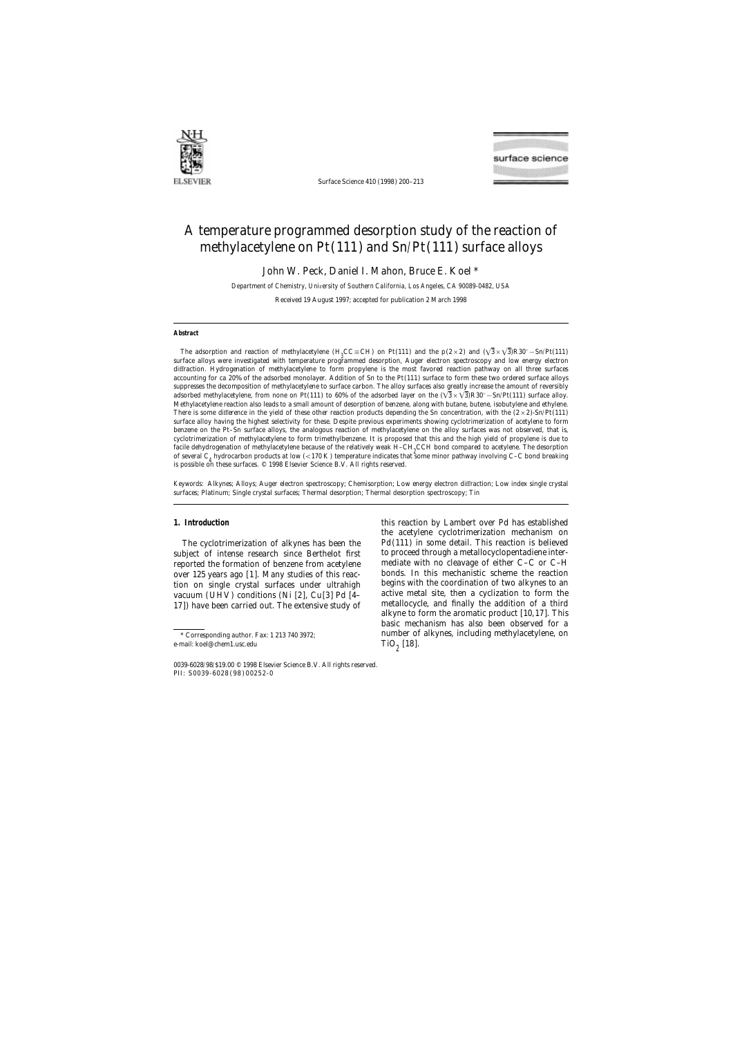

Surface Science 410 (1998) 200–213



# A temperature programmed desorption study of the reaction of methylacetylene on Pt(111) and Sn/Pt(111) surface alloys

John W. Peck, Daniel I. Mahon, Bruce E. Koel \*

*Department of Chemistry, Uni*v*ersity of Southern California, Los Angeles, CA 90089-0482, USA*

Received 19 August 1997; accepted for publication 2 March 1998

### **Abstract**

The adsorption and reaction of methylacetylene (H<sub>3</sub>CC≡CH) on Pt(111) and the p(2×2) and ( $\sqrt{3}\times\sqrt{3}R30^\circ$ –Sn/Pt(111) surface alloys were investigated with temperature programmed desorption, Auger electron spectroscopy and low energy electron diffraction. Hydrogenation of methylacetylene to form propylene is the most favored reaction pathway on all three surfaces accounting for ca 20% of the adsorbed monolayer. Addition of Sn to the Pt(111) surface to form these two ordered surface alloys suppresses the decomposition of methylacetylene to surface carbon. The alloy surfaces also greatly increase the amount of reversibly adsorbed methylacetylene, from none on Pt(111) to 60% of the adsorbed layer on the  $(\sqrt{3} \times \sqrt{3})R30^\circ - Sn/Pt(111)$  surface alloy. Methylacetylene reaction also leads to a small amount of desorption of benzene, along with butane, butene, isobutylene and ethylene. There is some difference in the yield of these other reaction products depending the Sn concentration, with the  $(2 \times 2)$ -Sn/Pt(111) surface alloy having the highest selectivity for these. Despite previous experiments showing cyclotrimerization of acetylene to form benzene on the Pt–Sn surface alloys, the analogous reaction of methylacetylene on the alloy surfaces was not observed, that is, cyclotrimerization of methylacetylene to form trimethylbenzene. It is proposed that this and the high yield of propylene is due to facile dehydrogenation of methylacetylene because of the relatively weak H–CH<sub>2</sub>CCH bond compared to acetylene. The desorption<br>of caused C, hydrogenhap mediate at law (<170 K) temperature indicates that cause miner nathuau of several C<sub>4</sub> hydrocarbon products at low (<170 K) temperature indicates that some minor pathway involving C–C bond breaking is possible on these surfaces.  $©$  1998 Elsevier Science B.V. All rights reserved.

*Keywords:* Alkynes; Alloys; Auger electron spectroscopy; Chemisorption; Low energy electron diffraction; Low index single crystal surfaces; Platinum; Single crystal surfaces; Thermal desorption; Thermal desorption spectroscopy; Tin

subject of intense research since Berthelot first to proceed through a metallocyclopentadiene interreported the formation of benzene from acetylene mediate with no cleavage of either C–C or C–H over 125 years ago [1]. Many studies of this reac-<br>bonds. In this mechanistic scheme the reaction over 125 years ago [1]. Many studies of this reac-<br>tion on single crystal surfaces under ultrahigh begins with the coordination of two alkynes to an tion on single crystal surfaces under ultrahigh begins with the coordination of two alkynes to an vacuum (UHV) conditions (Ni [2] Cu[3] Pd [4- active metal site, then a cyclization to form the vacuum (UHV) conditions (Ni [2], Cu[3] Pd [4- active metal site, then a cyclization to form the<br>17) have been carried out The extensive study of metallocycle, and finally the addition of a third

e-mail: koel@chem1.usc.edu  $\text{TiO}_9$  [18].

**1. Introduction** this reaction by Lambert over Pd has established the acetylene cyclotrimerization mechanism on The cyclotrimerization of alkynes has been the Pd(111) in some detail. This reaction is believed 17]) have been carried out. The extensive study of a metallocycle, and finally the addition of a third alkyne to form the aromatic product [10,17]. This basic mechanism has also been observed for a \* Corresponding author. Fax: 1 213 740 3972; number of alkynes, including methylacetylene, on

<sup>0039-6028</sup>/98/\$19.00 © 1998 Elsevier Science B.V. All rights reserved. PII: S0039-6028 ( 98 ) 00252-0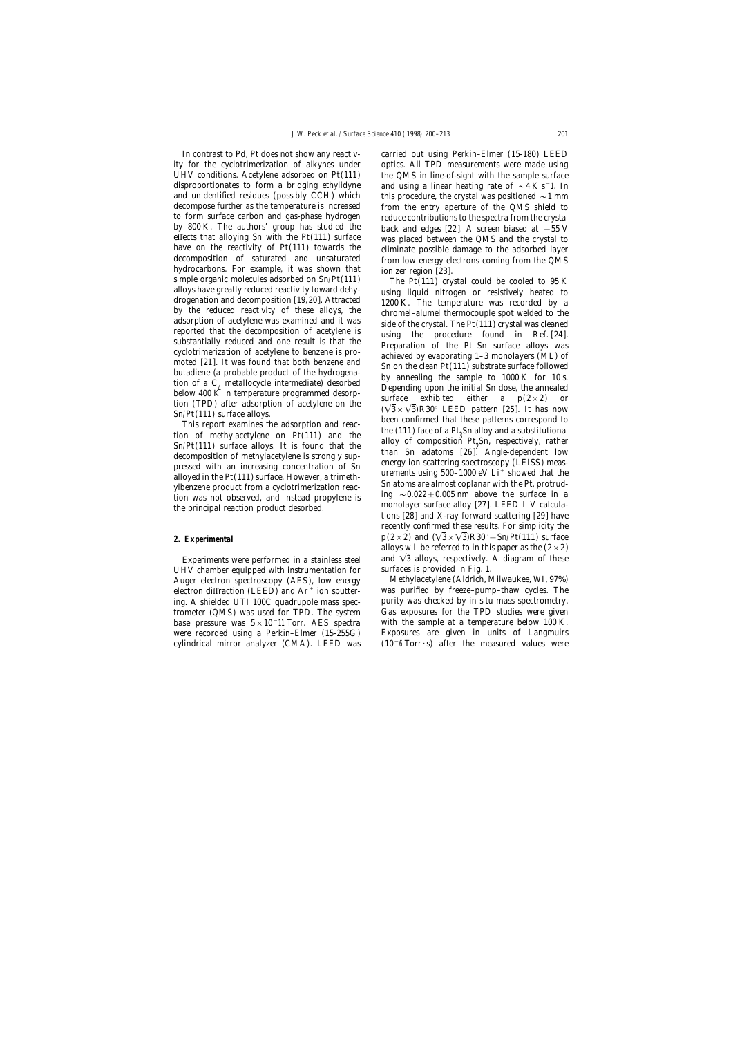ity for the cyclotrimerization of alkynes under optics. All TPD measurements were made using UHV conditions. Acetylene adsorbed on  $Pt(111)$  the QMS in line-of-sight with the sample surface disproportionates to form a bridging ethylidyne and using a linear heating rate of  $\sim$ 4Ks<sup>-1</sup>. In and unidentified residues (possibly CCH) which this procedure, the crystal was positioned  $\sim$  1 mm decompose further as the temperature is increased from the entry aperture of the QMS shield to to form surface carbon and gas-phase hydrogen reduce contributions to the spectra from the crystal by 800 K. The authors' group has studied the back and edges [22]. A screen biased at −55 V effects that alloying Sn with the Pt(111) surface was placed between the QMS and the crystal to have on the reactivity of Pt(111) towards the  $\frac{1}{2}$  eliminate possible damage to the adsorbed layer have on the reactivity of Pt(111) towards the<br>
eliminate possible damage to the adsorbed layer<br>
decomposition of saturated and unsaturated into how energy electrons coming from the QMS<br>
simple organic molecules adsorbed o

UHV chamber equipped with instrumentation for surfaces is provided in Fig. 1. Auger electron spectroscopy (AES), low energy Methylacetylene (Aldrich, Milwaukee, WI, 97%) electron diffraction (LEED) and  $Ar^+$  ion sputter- was purified by freeze-pump-thaw cycles. The ing. A shielded UTI 100C quadrupole mass spec- purity was checked by in situ mass spectrometry. trometer (QMS) was used for TPD. The system Gas exposures for the TPD studies were given base pressure was 5×10−11 Torr. AES spectra with the sample at a temperature below 100 K. were recorded using a Perkin–Elmer (15-255G) Exposures are given in units of Langmuirs cylindrical mirror analyzer (CMA). LEED was (10−6 Torr · s) after the measured values were

In contrast to Pd, Pt does not show any reactiv- carried out using Perkin–Elmer (15-180) LEED

This report examines the adsorption and reaction of methylacetylene on Pt(111) and the the  $\text{Sn/Pt}(111)$  surface alloys. It is found that the alloy of composition Pt<sub>2</sub>Sn, respectively, rather than Sn adatoms [26]. Angle-Sn/Pt(111) surface alloys. It is found that the<br>decomposition of methylacetylene is strongly sup-<br>pressed with an increasing concentration of Sn<br>alloyed in the Pt(111) surface. However, a trimeth-<br>ylbenzene product from a recently confirmed these results. For simplicity the **2. Experimental**  $p(2\times2)$  and  $(\sqrt{3}\times\sqrt{3})R30^\circ - Sn/Pt(111)$  surface alloys will be referred to in this paper as the  $(2\times2)$ Experiments were performed in a stainless steel and  $\sqrt{3}$  alloys, respectively. A diagram of these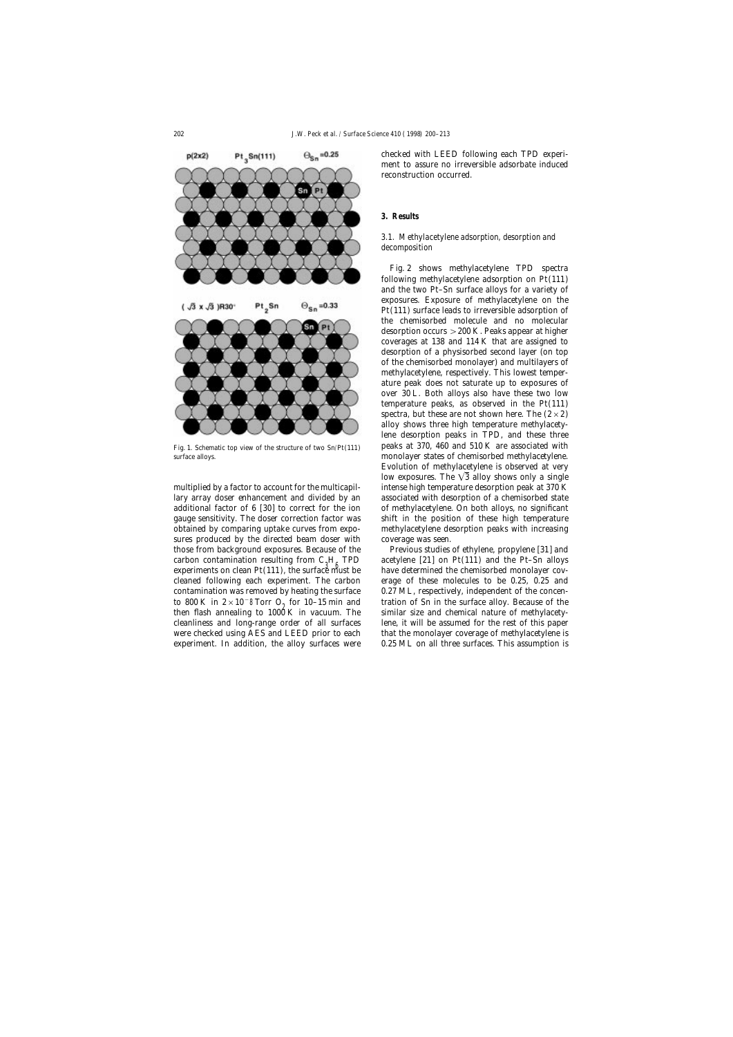

surface alloys. monolayer states of chemisorbed methylacetylene.

lary array doser enhancement and divided by an associated with desorption of a chemisorbed state additional factor of 6 [30] to correct for the ion of methylacetylene. On both alloys, no significant gauge sensitivity. The doser correction factor was shift in the position of these high temperature obtained by comparing uptake curves from expo- methylacetylene desorption peaks with increasing sures produced by the directed beam doser with coverage was seen. carbon contamination resulting from  $C_3H_6$  TPD<br>experiments on clean Pt(111), the surface must be contamination was removed by heating the surface 0.27 ML, respectively, independent of the concenthen flash annealing to  $1000$  K in vacuum. The

checked with LEED following each TPD experiment to assure no irreversible adsorbate induced reconstruction occurred.

### **3. Results**

## *3.1. Methylacetylene adsorption, desorption and decomposition*

Fig. 2 shows methylacetylene TPD spectra following methylacetylene adsorption on Pt(111) and the two Pt–Sn surface alloys for a variety of exposures. Exposure of methylacetylene on the Pt(111) surface leads to irreversible adsorption of the chemisorbed molecule and no molecular desorption occurs >200 K. Peaks appear at higher coverages at 138 and 114 K that are assigned to desorption of a physisorbed second layer (on top of the chemisorbed monolayer) and multilayers of methylacetylene, respectively. This lowest temperature peak does not saturate up to exposures of over 30 L. Both alloys also have these two low temperature peaks, as observed in the Pt(111) spectra, but these are not shown here. The  $(2 \times 2)$ alloy shows three high temperature methylacetylene desorption peaks in TPD, and these three Fig. 1. Schematic top view of the structure of two Sn/Pt(111) peaks at 370, 460 and 510 K are associated with Evolution of methylacetylene is observed at very low exposures. The  $\sqrt{3}$  alloy shows only a single multiplied by a factor to account for the multicapil- intense high temperature desorption peak at 370 K

those from background exposures. Because of the Previous studies of ethylene, propylene [31] and acetylene  $[21]$  on Pt $(111)$  and the Pt–Sn alloys have determined the chemisorbed monolayer covcleaned following each experiment. The carbon erage of these molecules to be 0.25, 0.25 and to 800 K in  $2 \times 10^{-8}$  Torr O<sub>2</sub> for 10–15 min and tration of Sn in the surface alloy. Because of the then flash annealing to 1000 K in vacuum. The similar size and chemical nature of methylacetycleanliness and long-range order of all surfaces lene, it will be assumed for the rest of this paper were checked using AES and LEED prior to each that the monolayer coverage of methylacetylene is experiment. In addition, the alloy surfaces were 0.25 ML on all three surfaces. This assumption is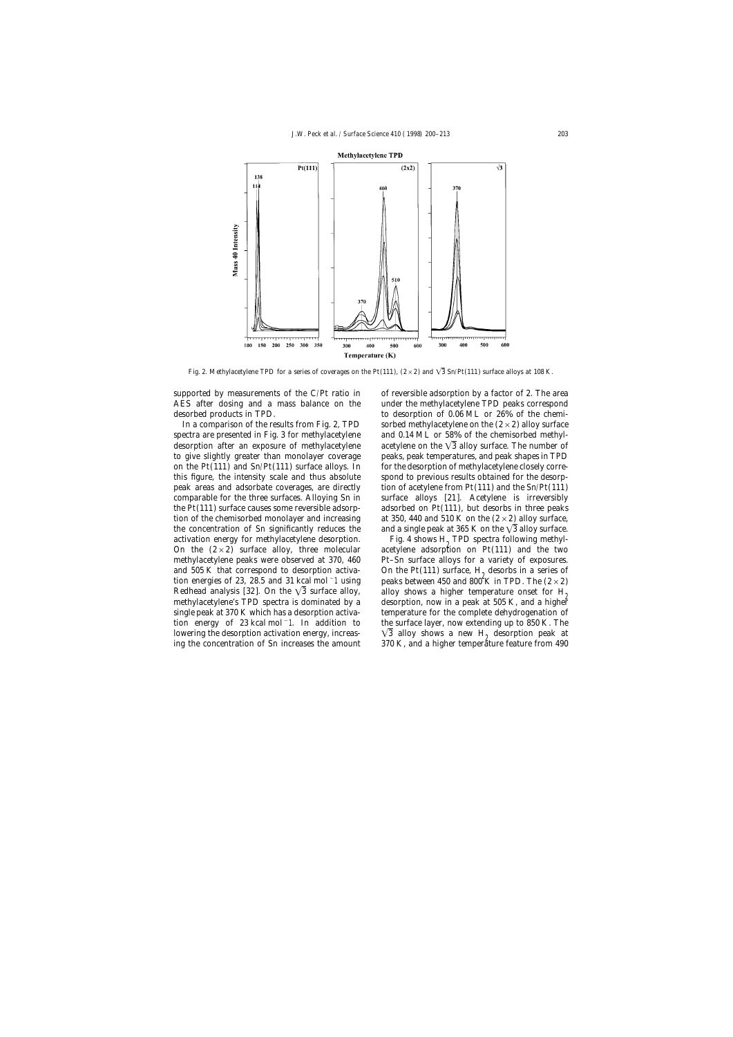

Fig. 2. Methylacetylene TPD for a series of coverages on the Pt(111),  $(2 \times 2)$  and  $\sqrt{3}$  Sn/Pt(111) surface alloys at 108 K.

supported by measurements of the C/Pt ratio in of reversible adsorption by a factor of 2. The area

activation energy for methylacetylene desorption. Fig. 4 shows  $H_2$  TPD spectra following methyl-<br>On the  $(2 \times 2)$  surface alloy, three molecular acetylene adsorption on Pt(111) and the two ing the concentration of Sn increases the amount

AES after dosing and a mass balance on the under the methylacetylene TPD peaks correspond desorbed products in TPD. to desorption of 0.06 ML or 26% of the chemi-In a comparison of the results from Fig. 2, TPD sorbed methylacetylene on the  $(2 \times 2)$  alloy surface spectra are presented in Fig. 3 for methylacetylene and 0.14 ML or 58% of the chemisorbed methyldesorption after an exposure of methylacetylene acetylene on the  $\sqrt{3}$  alloy surface. The number of to give slightly greater than monolayer coverage peaks, peak temperatures, and peak shapes in TPD on the Pt(111) and Sn/Pt(111) surface alloys. In for the desorption of methylacetylene closely correthis figure, the intensity scale and thus absolute spond to previous results obtained for the desorppeak areas and adsorbate coverages, are directly tion of acetylene from Pt(111) and the Sn/Pt(111) comparable for the three surfaces. Alloying Sn in surface alloys [21]. Acetylene is irreversibly the Pt(111) surface causes some reversible adsorp- adsorbed on Pt(111), but desorbs in three peaks tion of the chemisorbed monolayer and increasing at 350, 440 and 510 K on the  $(2\times2)$  alloy surface, the concentration of Sn significantly reduces the and a single peak at 365 K on the  $\sqrt{3}$  alloy surface.

acetylene adsorption on  $Pt(111)$  and the two methylacetylene peaks were observed at 370, 460 Pt–Sn surface alloys for a variety of exposures. and 505 K that correspond to desorption activa-<br>tion energies of 23, 28.5 and 31 kcal mol <sup>-</sup>1 using peaks between 450 and 800 K in TPD. The  $(2 \times 2)$ peaks between 450 and 800 K in TPD. The  $(2\times 2)$ Redhead analysis [32]. On the  $\sqrt{3}$  surface alloy, alloy shows a higher temperature onset for H<sub>2</sub> methylacetylene's TPD spectra is dominated by a desorption, now in a peak at 505 K, and a higher single peak at 370 K which has a desorption activa- temperature for the complete dehydrogenation of tion energy of 23 kcal mol−1. In addition to the surface layer, now extending up to 850 K. The lowering the desorption activation energy, increas-<br>ing the concentration of Sn increases the amount 370 K, and a higher temperature feature from 490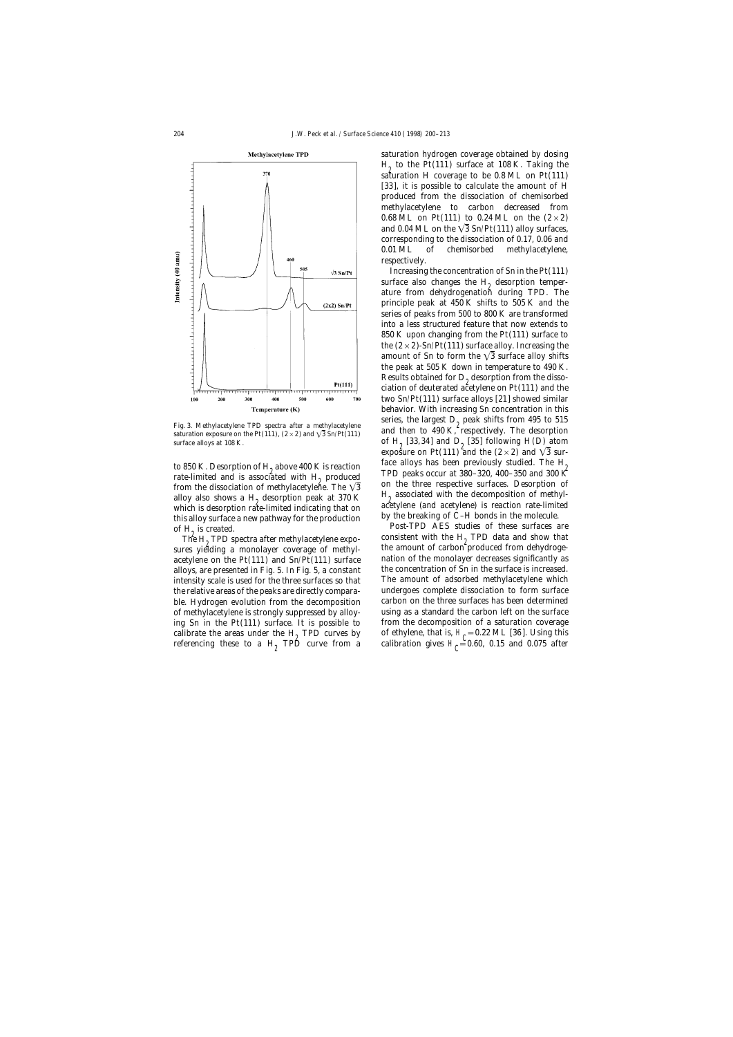

which is desorption rate-limited indicating that on accuplene (and acetylene) is reaction rate-limit<br>this alloy surface a new pathway for the production by the breaking of C-H bonds in the molecule. this alloy surface a new pathway for the production by the breaking of C–H bonds in the molecule.<br>of H<sub>2</sub> is created. Post-TPD AES studies of these surfaces are<br>The H<sub>2</sub> TPD spectra after methylacetylene expo-<br>consistent

The  $H_2$  TPD spectra after methylacetylene exposures yielding a monolayer coverage of methylintensity scale is used for the three surfaces so that referencing these to a  $H<sub>2</sub>$  TPD curve from a

saturation hydrogen coverage obtained by dosing  $H<sub>2</sub>$  to the Pt(111) surface at 108 K. Taking the saturation H coverage to be  $0.8$  ML on Pt $(111)$ [33], it is possible to calculate the amount of H produced from the dissociation of chemisorbed methylacetylene to carbon decreased from 0.68 ML on Pt(111) to 0.24 ML on the  $(2 \times 2)$ and 0.04 ML on the  $\sqrt{3}$  Sn/Pt(111) alloy surfaces, corresponding to the dissociation of 0.17, 0.06 and 0.01 ML of chemisorbed methylacetylene, respectively.

Increasing the concentration of Sn in the Pt(111) surface also changes the  $H<sub>2</sub>$  desorption temperature from dehydrogenation during TPD. The principle peak at 450 K shifts to 505 K and the series of peaks from 500 to 800 K are transformed into a less structured feature that now extends to 850 K upon changing from the Pt(111) surface to the  $(2 \times 2)$ -Sn/Pt(111) surface alloy. Increasing the amount of Sn to form the  $\sqrt{3}$  surface alloy shifts the peak at 505 K down in temperature to 490 K. Results obtained for  $D_{\alpha}$  desorption from the dissociation of deuterated acetylene on  $Pt(111)$  and the two Sn/Pt(111) surface alloys [21] showed similar behavior. With increasing Sn concentration in this Fig. 3. Methylacetylene TPD spectra after a methylacetylene series, the largest  $D_2$  peak shifts from 495 to 515 saturation exposure on the Pt(111), (2×2) and  $\sqrt{3}$  Sn/Pt(111) and then to 490 K, respectively. The desor surface alloys at 108 K.  $\qquad \qquad$  of H<sub>2</sub> [33,34] and D<sub>2</sub> [35] following H(D) atom exposure on Pt(111) and the  $(2 \times 2)$  and  $\sqrt{3}$  surto 850 K. Desorption of H<sub>2</sub> above 400 K is reaction face alloys has been previously studied. The H<sub>2</sub>  $\frac{1}{2}$  rate-limited and is associated with H<sub>2</sub> produced TPD peaks occur at 380–320, 400–350 and 300 K rate-limited and is associated with H<sub>2</sub> produced<br>from the dissociation of methylacetylene. The  $\sqrt{3}$  on the three respective surfaces. Desorption of from the dissociation of methylacetylene. The  $\sqrt{3}$  and the three respective surfaces. Desorption of alloy also shows a H<sub>2</sub> desorption peak at 370 K alloy associated with the decomposition of methyl-<br>which is desorptio

the amount of carbon produced from dehydrogeacetylene on the Pt(111) and Sn/Pt(111) surface nation of the monolayer decreases significantly as alloys, are presented in Fig. 5. In Fig. 5, a constant the concentration of Sn in the surface is increased.<br>
intensity scale is used for the three surfaces so that The amount of adsorbed methylacetylene which the relative areas of the peaks are directly compara- undergoes complete dissociation to form surface ble. Hydrogen evolution from the decomposition carbon on the three surfaces has been determined of methylacetylene is strongly suppressed by alloy- using as a standard the carbon left on the surface ing Sn in the Pt $(111)$  surface. It is possible to from the decomposition of a saturation coverage calibrate the areas under the H<sub>2</sub> TPD curves by of ethylene, that is, H<sub>C</sub> = 0.22 ML [36]. Using this calibration gives H<sub>c</sub> $=$  0.60, 0.15 and 0.075 after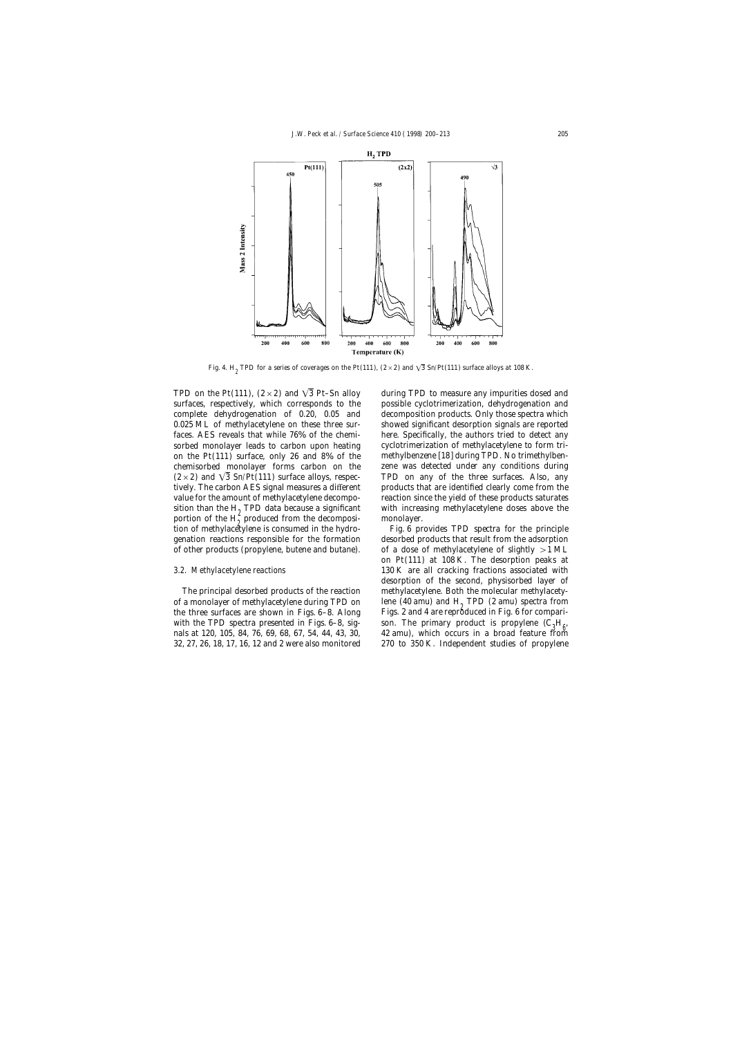

Fig. 4. H<sub>2</sub> TPD for a series of coverages on the Pt(111),  $(2 \times 2)$  and  $\sqrt{3}$  Sn/Pt(111) surface alloys at 108 K.

TPD on the Pt(111),  $(2 \times 2)$  and  $\sqrt{3}$  Pt–Sn alloy during TPD to measure any impurities dosed and portion of the  $H_2^2$  produced from the decomposi-<br>tion of methylacetylene is consumed in the hydro-<br>Fig. 6 provides TPD spectra for the principle tion of methylacetylene is consumed in the hydro-

the three surfaces are shown in Figs.  $6-8$ . Along

surfaces, respectively, which corresponds to the possible cyclotrimerization, dehydrogenation and complete dehydrogenation of 0.20, 0.05 and decomposition products. Only those spectra which 0.025 ML of methylacetylene on these three sur- showed significant desorption signals are reported faces. AES reveals that while 76% of the chemi- here. Specifically, the authors tried to detect any sorbed monolayer leads to carbon upon heating cyclotrimerization of methylacetylene to form trion the Pt(111) surface, only 26 and 8% of the methylbenzene [18] during TPD. No trimethylbenchemisorbed monolayer forms carbon on the zene was detected under any conditions during  $(2\times2)$  and  $\sqrt{3}$  Sn/Pt(111) surface alloys, respec- TPD on any of the three surfaces. Also, any tively. The carbon AES signal measures a different products that are identified clearly come from the value for the amount of methylacetylene decompo- reaction since the yield of these products saturates sition than the H<sub>2</sub> TPD data because a significant with increasing methylacetylene doses above the portion of the H<sub>2</sub> produced from the decomposi- monolayer.

genation reactions responsible for the formation desorbed products that result from the adsorption of other products (propylene, butene and butane). of a dose of methylacetylene of slightly  $>1$  ML on Pt(111) at 108 K. The desorption peaks at *3.2. Methylacetylene reactions* 130 K are all cracking fractions associated with desorption of the second, physisorbed layer of The principal desorbed products of the reaction methylacetylene. Both the molecular methylacetyof a monolayer of methylacetylene during TPD on lene (40 amu) and  $H_2$  TPD (2 amu) spectra from the three surfaces are shown in Figs. 6–8. Along Figs. 2 and 4 are reproduced in Fig. 6 for comparison. The primary product is propylene (C<sup>3</sup> <sup>H</sup><sup>6</sup> with the TPD spectra presented in Figs. 6–8, sig- , nals at 120, 105, 84, 76, 69, 68, 67, 54, 44, 43, 30, 42 amu), which occurs in a broad feature from 32, 27, 26, 18, 17, 16, 12 and 2 were also monitored 270 to 350 K. Independent studies of propylene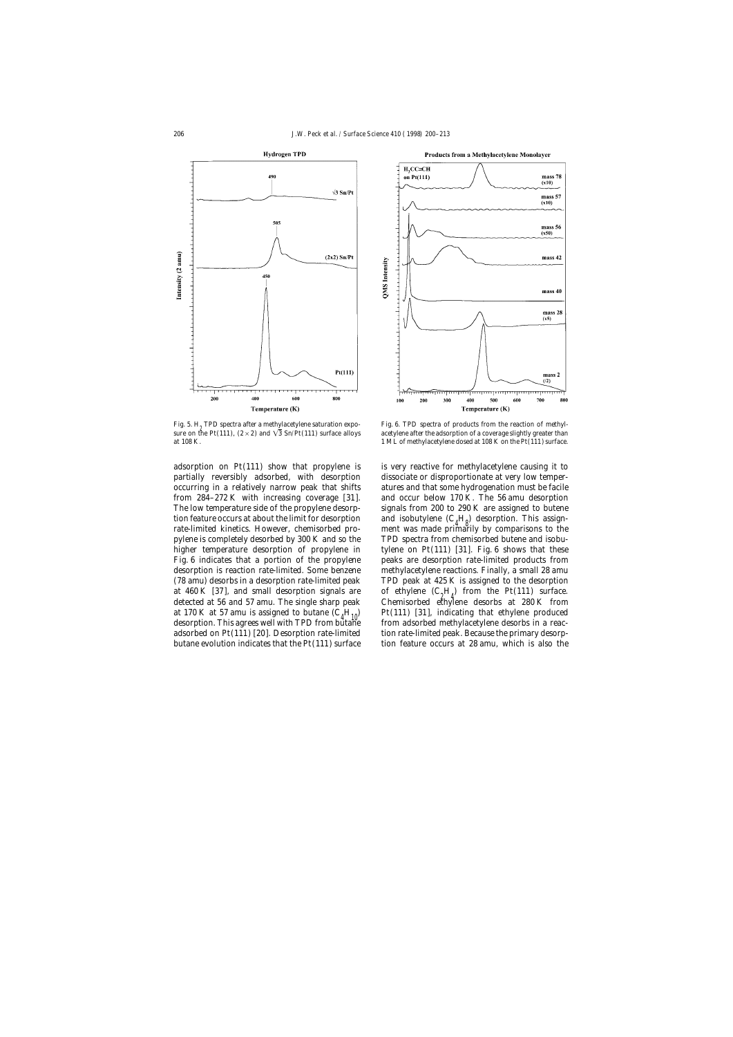

Fig. 5. H<sub>2</sub> TPD spectra after a methylacetylene saturation expo-<br>sure on the Pt(111), (2 × 2) and  $\sqrt{3}$  Sn/Pt(111) surface alloys acetylene after the adsorption of a coverage slightly greater than

at  $460 \text{ K}$  [37], and small desorption signals are detected at 56 and 57 amu. The single sharp peak at 170 K at 57 amu is assigned to butane  $(C_A H_{10})$ desorption. This agrees well with TPD from butane



acetylene after the adsorption of a coverage slightly greater than at 108 K. 1 ML of methylacetylene dosed at 108 K on the Pt(111) surface.

adsorption on Pt(111) show that propylene is is very reactive for methylacetylene causing it to partially reversibly adsorbed, with desorption dissociate or disproportionate at very low temperoccurring in a relatively narrow peak that shifts atures and that some hydrogenation must be facile from 284–272 K with increasing coverage [31]. and occur below 170 K. The 56 amu desorption The low temperature side of the propylene desorp-<br>signals from 200 to 290 K are assigned to butene tion feature occurs at about the limit for desorption and isobutylene  $(C_A H_o)$  desorption. This assign-<br>reta limited kineties. However, shamisorbed are somewhat wes mode principly by comparisons to the rate-limited kinetics. However, chemisorbed pro- ment was made primarily by comparisons to the pylene is completely desorbed by 300 K and so the TPD spectra from chemisorbed butene and isobuhigher temperature desorption of propylene in tylene on Pt(111) [31]. Fig. 6 shows that these Fig. 6 indicates that a portion of the propylene peaks are desorption rate-limited products from desorption is reaction rate-limited. Some benzene methylacetylene reactions. Finally, a small 28 amu (78 amu) desorbs in a desorption rate-limited peak TPD peak at 425 K is assigned to the desorption  $H_d$ ) from the Pt(111) surface. Chemisorbed ethylene desorbs at 280 K from Pt(111) [31], indicating that ethylene produced<br>from adsorbed methylacetylene desorbs in a reacadsorbed on Pt(111) [20]. Desorption rate-limited tion rate-limited peak. Because the primary desorpbutane evolution indicates that the Pt(111) surface tion feature occurs at 28 amu, which is also the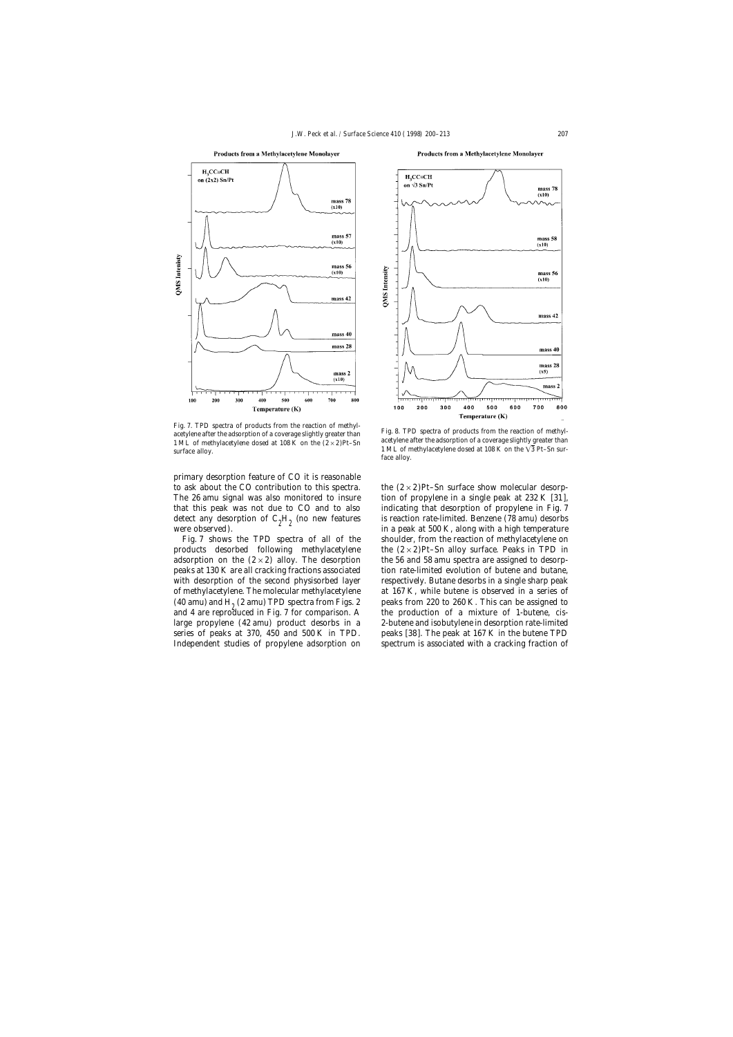



primary desorption feature of CO it is reasonable to ask about the CO contribution to this spectra. the  $(2 \times 2)$ Pt–Sn surface show molecular desorp-

Products from a Methylacetylene Monolayer



Fig. 7. TPD spectra of products from the reaction of methyl-<br>acetylene after the adsorption of a coverage slightly greater than<br>1 ML of methylacetylene dosed at 108 K on the  $(2 \times 2)$ Pt–Sn<br>surface alloy.<br>Fig. 8. TPD spect

The 26 amu signal was also monitored to insure tion of propylene in a single peak at 232 K [31], that this peak was not due to CO and to also indicating that desorption of propylene in Fig. 7 detect any desorption of  $C_2H_2$  (no new features is reaction rate-limited. Benzene (78 amu) desorbs 200  $K$  along with a high temperature were observed).  $\frac{1}{2}$   $\frac{1}{2}$  in a peak at 500 K, along with a high temperature Fig. 7 shows the TPD spectra of all of the shoulder, from the reaction of methylacetylene on products desorbed following methylacetylene the  $(2 \times 2)$ Pt–Sn alloy surface. Peaks in TPD in adsorption on the  $(2 \times 2)$  alloy. The desorption the 56 and 58 amu spectra are assigned to desorppeaks at 130 K are all cracking fractions associated tion rate-limited evolution of butene and butane, with desorption of the second physisorbed layer respectively. Butane desorbs in a single sharp peak of methylacetylene. The molecular methylacetylene at 167 K, while butene is observed in a series of (40 amu) and  $H_2$  (2 amu) TPD spectra from Figs. 2 eaks from 220 to 260 K. This can be assigned to and 4 are reproduced in Fig. 7 for comparison. A the production of a mixture of 1-butene, *cis*the production of a mixture of 1-butene, *cis*large propylene (42 amu) product desorbs in a 2-butene and isobutylene in desorption rate-limited series of peaks at 370, 450 and 500 K in TPD. peaks [38]. The peak at 167 K in the butene TPD Independent studies of propylene adsorption on spectrum is associated with a cracking fraction of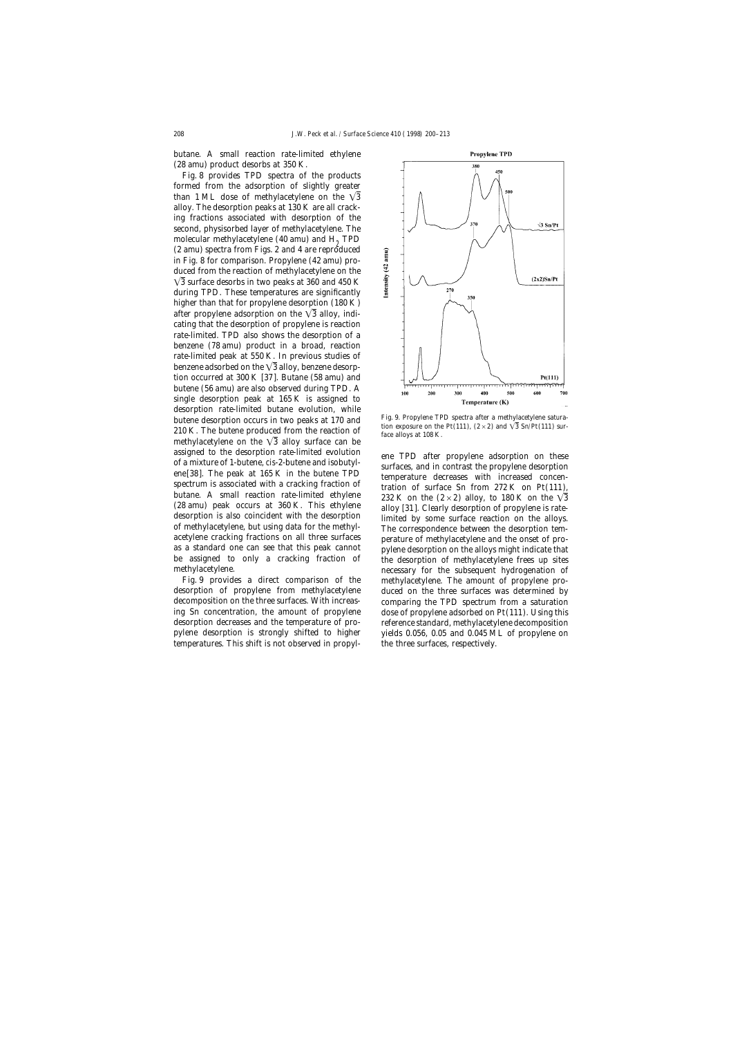butane. A small reaction rate-limited ethylene (28 amu) product desorbs at 350 K.

Fig. 8 provides TPD spectra of the products formed from the adsorption of slightly greater than 1 ML dose of methylacetylene on the  $\sqrt{3}$ alloy. The desorption peaks at 130 K are all cracking fractions associated with desorption of the second, physisorbed layer of methylacetylene. The molecular methylacetylene (40 amu) and  $H<sub>0</sub>$  TPD (2 amu) spectra from Figs. 2 and 4 are reproduced in Fig. 8 for comparison. Propylene (42 amu) produced from the reaction of methylacetylene on the  $\sqrt{3}$  surface desorbs in two peaks at 360 and 450 K during TPD. These temperatures are significantly higher than that for propylene desorption (180 K) after propylene adsorption on the  $\sqrt{3}$  alloy, indicating that the desorption of propylene is reaction rate-limited. TPD also shows the desorption of a benzene (78 amu) product in a broad, reaction rate-limited peak at 550 K. In previous studies of benzene adsorbed on the  $\sqrt{3}$  alloy, benzene desorption occurred at 300 K [37]. Butane (58 amu) and butene (56 amu) are also observed during TPD. A single desorption peak at 165 K is assigned to desorption rate-limited butane evolution, while butene desorption occurs in two peaks at 170 and<br>210 K. The butene produced from the reaction of  $\frac{100 \text{ K}}{\text{area}}$ . The butene produced from the reaction of  $\frac{100 \text{ K}}{\text{area}}$  and  $\frac{100 \text{ K}}{\text{area}}$ . methylacetylene on the  $\sqrt{3}$  alloy surface can be assigned to the desorption rate-limited evolution<br>of a mixture of 1-butene, *cis*-2-butene and isobutyl-<br>ene[38]. The peak at 165 K in the butene TPD<br>surfaces, and in contrast the propylene desorption<br>ene[38]. The peak at (28 amu) peak occurs at 360 K. This ethylene alloy [31]. Clearly desorption of propylene is rate-<br>desorption is also coincident with the desorption<br>of methylacetylene, but using data for the methyl-<br>acetylene cracking frac

temperatures. This shift is not observed in propyl- the three surfaces, respectively.



be assigned to only a cracking fraction of the desorption of methylacetylene frees up sites<br>methylacetylene. necessary for the subsequent hydrogenation of Fig. 9 provides a direct comparison of the methylacetylene. The amount of propylene prodesorption of propylene from methylacetylene duced on the three surfaces was determined by decomposition on the three surfaces. With increas- comparing the TPD spectrum from a saturation ing Sn concentration, the amount of propylene dose of propylene adsorbed on Pt(111). Using this desorption decreases and the temperature of pro- reference standard, methylacetylene decomposition pylene desorption is strongly shifted to higher yields 0.056, 0.05 and 0.045 ML of propylene on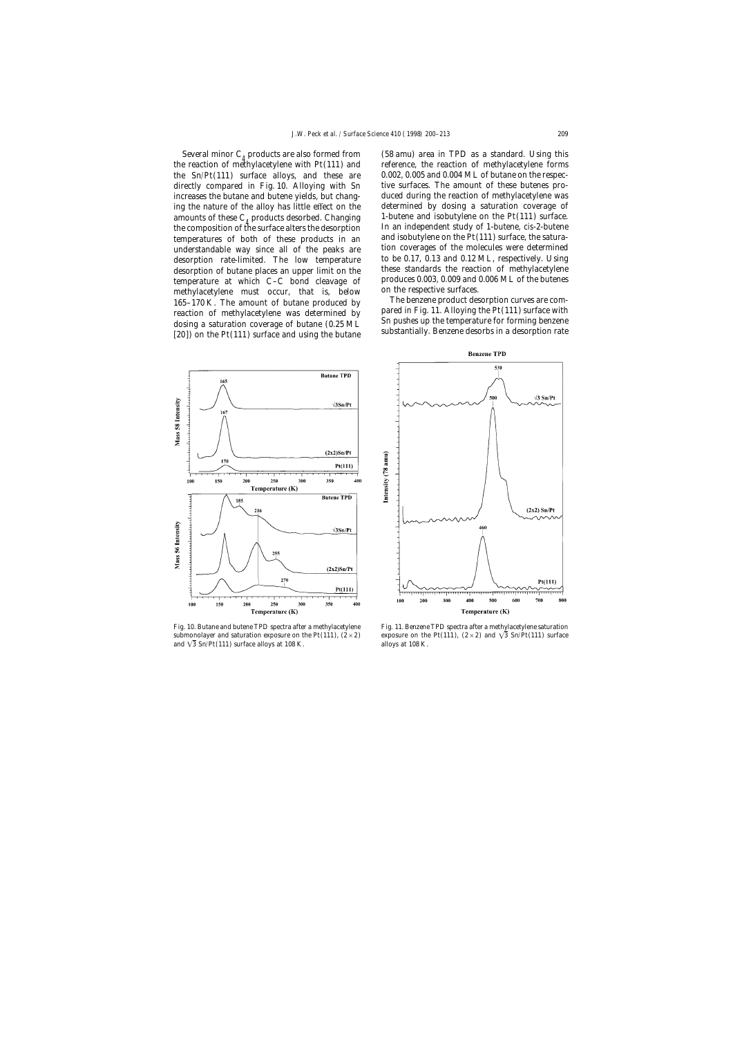the reaction of methylacetylene with  $Pt(111)$  and temperatures of both of these products in an temperature at which C–C bond cleavage of produces  $0.003, 0.009$  and  $\mu$  methylacetylene, must occur, that is helow on the respective surfaces. methylacetylene must occur, that is, below on the respective surfaces.<br>165–170 K, The amount of butane produced by The benzene product desorption curves are com-165–170 K. The amount of butane produced by<br>reaction of methylacetylene was determined by<br>dosing a saturation coverage of butane (0.25 ML substantially. Benzene desorbs in a desorption rate<br>[20]) on the Pt(111) surface an

Several minor  $C_4$  products are also formed from (58 amu) area in TPD as a standard. Using this e reaction of methylacetylene with Pt(111) and reference, the reaction of methylacetylene forms the Sn/Pt(111) surface alloys, and these are 0.002, 0.005 and 0.004 ML of butane on the respecdirectly compared in Fig. 10. Alloying with Sn tive surfaces. The amount of these butenes proincreases the butane and butene yields, but chang- duced during the reaction of methylacetylene was ing the nature of the alloy has little effect on the determined by dosing a saturation coverage of amounts of these  $C_4$  products desorbed. Changing  $\blacksquare$  1-butene and isobutylene on the Pt(111) surface.<br>the composition of the surface alters the desorption  $\blacksquare$  In an independent study of 1-butene, *cis*-2-butene the composition of the surface alters the desorption In an independent study of 1-butene, *cis-2*-butene<br>temperatures of both of these products in an and isobutylene on the Pt(111) surface, the saturaunderstandable way since all of the peaks are tion coverages of the molecules were determined<br>desorption rate-limited The low temperature to be 0.17, 0.13 and 0.12 ML, respectively. Using desorption rate-limited. The low temperature to be 0.17, 0.13 and 0.12 ML, respectively. Using<br>desorption of butane places an upper limit on the these standards the reaction of methylacetylene desorption of butane places an upper limit on the these standards the reaction of methylacetylene<br>temperature at which C<sub>-C</sub> bond cleavage of produces 0.003, 0.009 and 0.006 ML of the butenes



submonolayer and saturation exposure on the Pt(111),  $(2 \times 2)$  exposure on the Pt(111),  $(2 \times 2)$  and  $\sqrt{3}$  Sn/Pt(111) surface and  $\sqrt{3}$  Sn/Pt(111) surface alloys at 108 K. alloys at 108 K.



Fig. 10. Butane and butene TPD spectra after a methylacetylene Fig. 11. Benzene TPD spectra after a methylacetylene saturation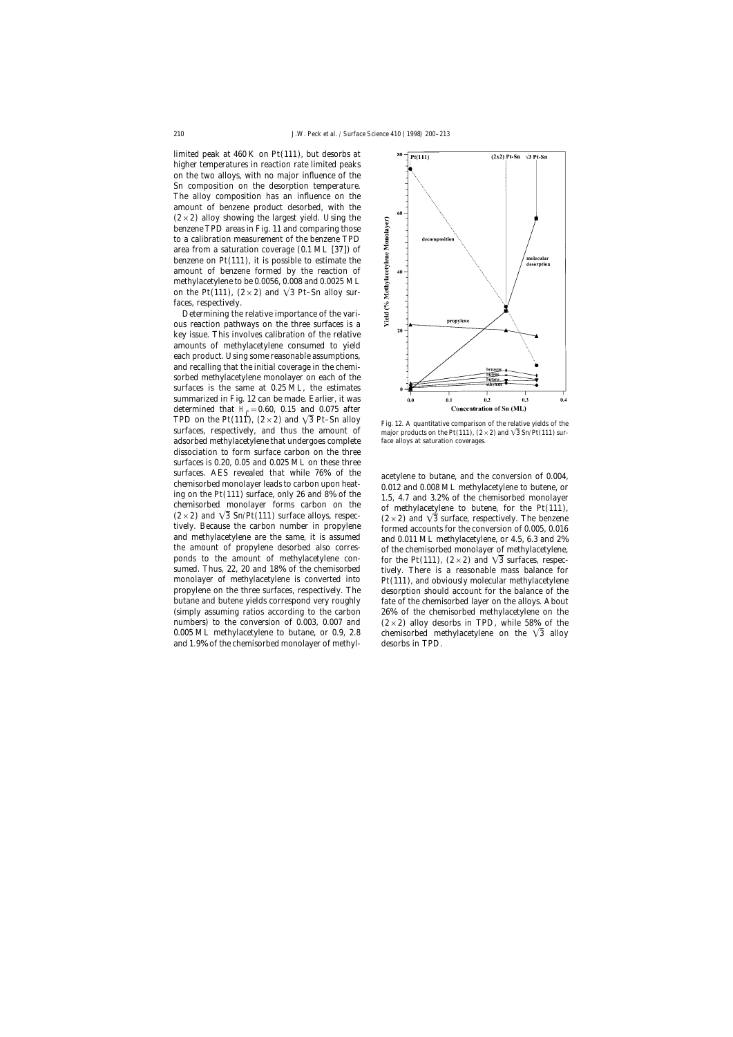limited peak at 460 K on Pt(111), but desorbs at higher temperatures in reaction rate limited peaks on the two alloys, with no major influence of the Sn composition on the desorption temperature. The alloy composition has an influence on the amount of benzene product desorbed, with the  $(2\times2)$  alloy showing the largest yield. Using the benzene TPD areas in Fig. 11 and comparing those to a calibration measurement of the benzene TPD area from a saturation coverage (0.1 ML [37]) of benzene on  $Pt(111)$ , it is possible to estimate the amount of benzene formed by the reaction of methylacetylene to be 0.0056, 0.008 and 0.0025 ML on the Pt(111),  $(2 \times 2)$  and  $\sqrt{3}$  Pt–Sn alloy surfaces, respectively.

Determining the relative importance of the various reaction pathways on the three surfaces is a key issue. This involves calibration of the relative amounts of methylacetylene consumed to yield each product. Using some reasonable assumptions, and recalling that the initial coverage in the chemisorbed methylacetylene monolayer on each of the surfaces is the same at 0.25 ML, the estimates summarized in Fig. 12 can be made. Earlier, it was determined that  $H_C = 0.60$ , 0.15 and 0.075 after<br>TPD an the Rt(111)  $(2 \times 2)$  and  $\sqrt{2}$  Rt. Sp allow TPD on the Pt(111),  $(2 \times 2)$  and  $\sqrt{3}$  Pt–Sn alloy Fig. 12. A quantitative comparison of the relative yields of the surfaces, respectively, and thus the amount of major products on the Pt(111).  $(2 \times 2)$  and  $\sqrt{3}$  Sn adsorbed methylacetylene that undergoes complete face alloys at saturation coverages. dissociation to form surface carbon on the three surfaces is 0.20, 0.05 and 0.025 ML on these three surfaces. AES revealed that while 76% of the<br>chemisorbed monolayer leads to carbon upon heat-<br>ing on the Pt(111) surface, only 26 and 8% of the<br>chemisorbed monolayer forms carbon on the<br>class of methylacetylene to butene, and methylacetylene are the same, it is assumed<br>the amount of propylene desorbed also corres-<br>of the chemisorbed monolayer of methylacetylene the amount of propylene desorbed also corres-<br>ponds to the amount of methylacetylene con-<br>for the Pt(111)  $(2 \times 2)$  and  $\sqrt{3}$  surfaces respecponds to the amount of methylacetylene con-<br>sumed. Thus, 22, 20 and 18% of the chemisorbed<br>tively. There is a reasonable mass balance for monolayer of methylacetylene is converted into  $P_t(111)$ , and obviously molecular methylacetylene propylene on the three surfaces, respectively. The desorption should account for the balance of the butane and butene yields correspond very roughly fate of the chemisorbed layer on the alloys. About (simply assuming ratios according to the carbon 26% of the chemisorbed methylacetylene on the numbers) to the conversion of 0.003, 0.007 and  $(2\times2)$  alloy desorbs in TPD, while 58% of the 0.005 ML methylacetylene to butane, or 0.9, 2.8 chemisorbed methylacetylene on the  $\sqrt{3}$  alloy and 1.9% of the chemisorbed monolayer of methyl- desorbs in TPD.



major products on the Pt(111),  $(2\times 2)$  and  $\sqrt{3}$  Sn/Pt(111) sur-

tively. There is a reasonable mass balance for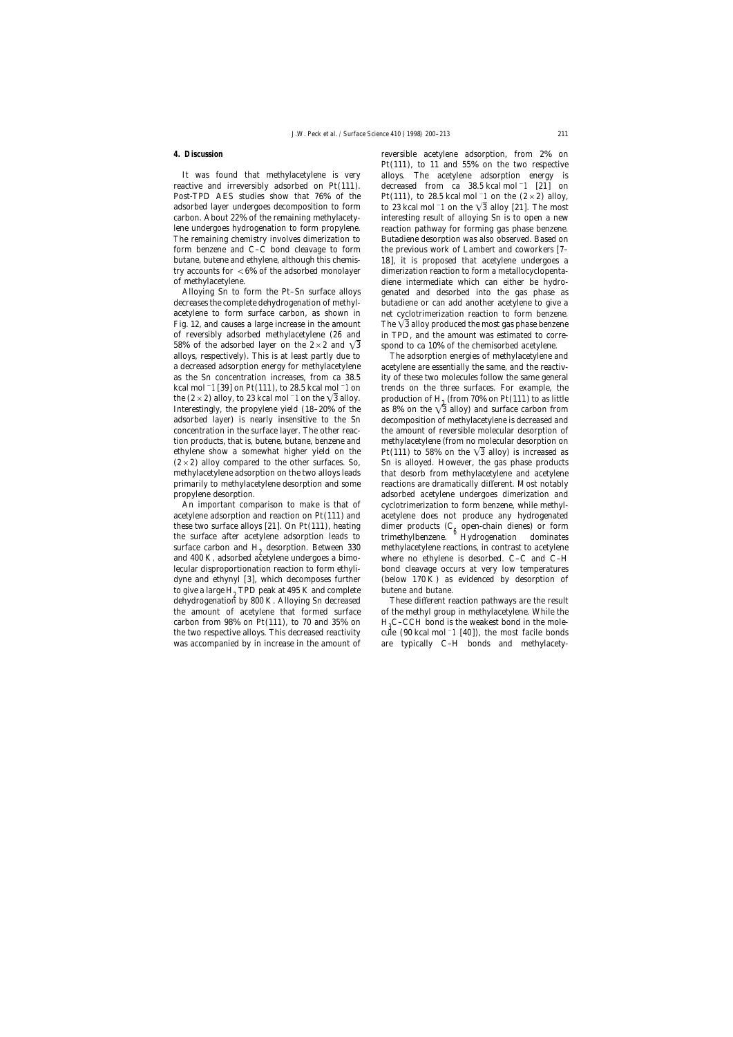acetylene to form surface carbon, as shown in net cyclotrimerization reaction to form benzene. 58% of the adsorbed layer on the  $2 \times 2$  and  $\sqrt{3}$  spond to ca 10% of the chemisorbed acetylene. alloys, respectively). This is at least partly due to The adsorption energies of methylacetylene and a decreased adsorption energy for methylacetylene acetylene are essentially the same, and the reactivas the Sn concentration increases, from ca 38.5 ity of these two molecules follow the same general kcal mol−1 [39] on Pt(111), to 28.5 kcal mol−1 on trends on the three surfaces. For example, the the (2×2) alloy, to 23 kcal mol<sup>-1</sup> on the  $\sqrt{3}$  alloy. production of H<sub>2</sub> (from 70% on Pt(111) to as little Interestingly, the propylene yield (18–20% of the as 8% on the  $\sqrt{3}$  alloy) and surface carbon from adsorbed layer) is nearly insensitive to the Sn decomposition of methylacetylene is decreased and concentration in the surface layer. The other reac- the amount of reversible molecular desorption of tion products, that is, butene, butane, benzene and methylacetylene (from no molecular desorption on ethylene show a somewhat higher yield on the Pt(111) to 58% on the  $\sqrt{3}$  alloy) is increased as  $(2\times2)$  alloy compared to the other surfaces. So, Sn is alloyed. However, the gas phase products methylacetylene adsorption on the two alloys leads that desorb from methylacetylene and acetylene primarily to methylacetylene desorption and some reactions are dramatically different. Most notably propylene desorption. adsorbed acetylene undergoes dimerization and

acetylene adsorption and reaction on Pt(111) and acetylene does not produce any hydrogenated these two surface alloys [21]. On Pt(111), heating dimer products (C<sub>6</sub> open-chain dienes) or form<br>the surface after acetylene adsorption leads to trimethylbenzene. Hydrogenation dominates surface carbon and  $H_2$  desorption. Between 330 methylacetylene reactions, in contrast to acetylene and 400 K, adsorbed acetylene undergoes a bimo-<br>where no ethylene is desorbed. C–C and C–H lecular disproportionation reaction to form ethyli- bond cleavage occurs at very low temperatures dyne and ethynyl  $[3]$ , which decomposes further (below 170 K) as evidenced by desorption of to give a large  $H_2$  TPD peak at 495 K and complete butene and butane.<br>dehydrogenation by 800 K. Alloying Sn decreased These different re carbon from 98% on Pt(111), to 70 and 35% on  $H_3C$ –CCH bond is the weakest bond in the mole-<br>the two respective alloys. This decreased reactivity cule (90 kcal mol<sup>-</sup>1 [40]), the most facile bonds was accompanied by in increase in the amount of are typically C-H bonds and methylacety-

**4. Discussion** reversible acetylene adsorption, from 2% on Pt(111), to 11 and 55% on the two respective It was found that methylacetylene is very alloys. The acetylene adsorption energy is reactive and irreversibly adsorbed on Pt(111). decreased from ca 38.5 kcal mol−1 [21] on Post-TPD AES studies show that 76% of the Pt(111), to 28.5 kcal mol<sup>-1</sup> on the (2 × 2) alloy, adsorbed layer undergoes decomposition to form to 23 kcal mol<sup>-1</sup> on the  $\sqrt{3}$  alloy [21]. The most carbon. About 22% of the remaining methylacety- interesting result of alloying Sn is to open a new lene undergoes hydrogenation to form propylene. reaction pathway for forming gas phase benzene. The remaining chemistry involves dimerization to Butadiene desorption was also observed. Based on form benzene and C–C bond cleavage to form the previous work of Lambert and coworkers [7– butane, butene and ethylene, although this chemis- 18], it is proposed that acetylene undergoes a try accounts for <6% of the adsorbed monolayer dimerization reaction to form a metallocyclopentaof methylacetylene. diene intermediate which can either be hydro-Alloying Sn to form the Pt–Sn surface alloys genated and desorbed into the gas phase as decreases the complete dehydrogenation of methyl- butadiene or can add another acetylene to give a Fig. 12, and causes a large increase in the amount The  $\sqrt{3}$  alloy produced the most gas phase benzene of reversibly adsorbed methylacetylene (26 and in TPD, and the amount was estimated to corre-

as 8% on the  $\sqrt{3}$  alloy) and surface carbon from An important comparison to make is that of cyclotrimerization to form benzene, while methylwhere no ethylene is desorbed.  $C-C$  and  $C-H$ 

These different reaction pathways are the result the amount of acetylene that formed surface of the methyl group in methylacetylene. While the cule (90 kcal mol<sup>−1</sup> [40]), the most facile bonds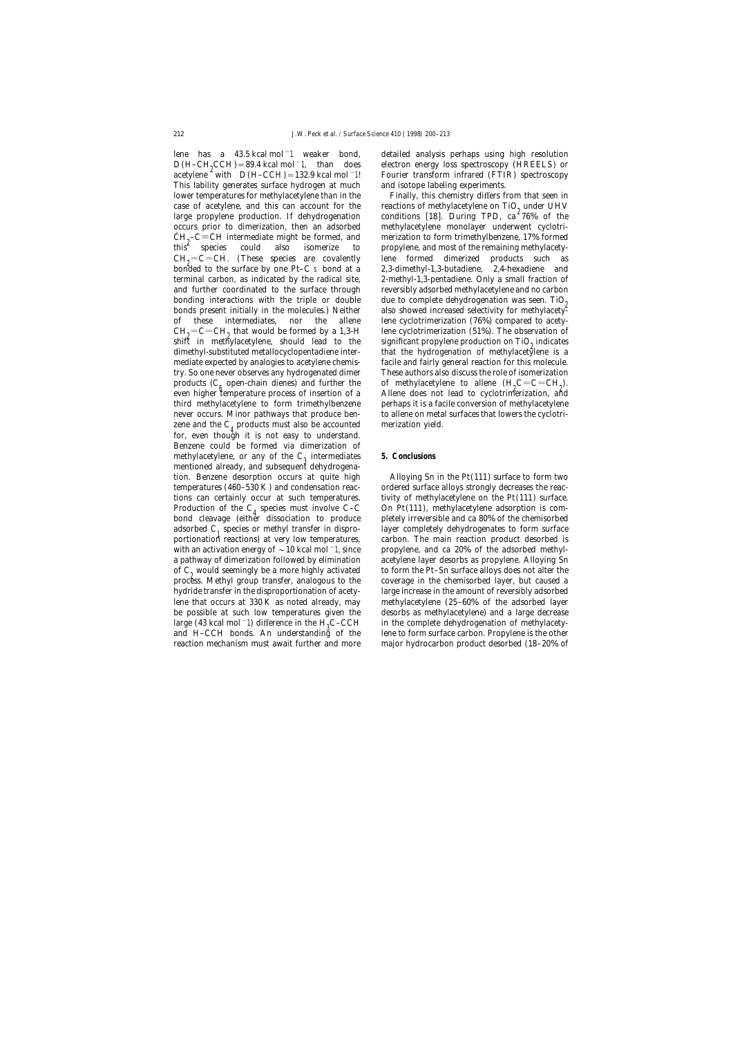$D(H-CH_2CCH) = 89.4$  kcal mol<sup>-1</sup>, than does electron energy loss spectroscopy (HREELS) or acetylene with  $D(H-CCH) = 132.9$  kcal mol<sup>-1!</sup> Fourier transform infrared (FTIR) spectroscopy  $D(H-CH<sub>0</sub>CCH) = 89.4$  kcal mol<sup>-1</sup>, than does This lability generates surface hydrogen at much and isotope labeling experiments. lower temperatures for methylacetylene than in the Finally, this chemistry differs from that seen in case of acetylene, and this can account for the reactions of methylacetylene on  $TiO<sub>2</sub>$  under UHV large propylene production. If dehydrogenation conditions [18]. During TPD, ca<sup>2</sup>76% of the occurs prior to dimerization, then an adsorbed methylacetylene monolayer underwent cyclotri- $\text{CH}_{2}^{\bullet}$ – $\text{C} \equiv \text{CH}$  intermediate might be formed, and this species could also isomerize to  $CH<sub>2</sub>=C=CH$ . (These species are covalently lene formed dimerized products such as bonded to the surface by one Pt–C s bond at a 2,3-dimethyl-1,3-butadiene, 2,4-hexadiene and terminal carbon, as indicated by the radical site, 2-methyl-1,3-pentadiene. Only a small fraction of and further coordinated to the surface through reversibly adsorbed methylacetylene and no carbon bonding interactions with the triple or double due to complete dehydrogenation was seen. TiO<sub>2</sub> bonds present initially in the molecules.) Neither also showed increased selectivity for methylacetyof these intermediates, nor the allene lene cyclotrimerization (76%) compared to acety- $CH<sub>9</sub>=C=CH<sub>9</sub>$  that would be formed by a 1,3-H lene cyclotrimerization (51%). The observation of shift in methylacetylene, should lead to the significant propylene production on TiO<sub>0</sub> indicates  $CH<sub>0</sub>=C=CH<sub>0</sub>$  that would be formed by a 1,3-H dimethyl-substituted metallocyclopentadiene intermediate expected by analogies to acetylene chemis- facile and fairly general reaction for this molecule. try. So one never observes any hydrogenated dimer These authors also discuss the role of isomerization products ( $C_6$  open-chain dienes) and further the of methylacetylene to allene  $(H_2C=C=CH_2)$ .<br>even higher temperature process of insertion of a Allene does not lead to cyclotrimerization, and even higher temperature process of insertion of a third methylacetylene to form trimethylbenzene perhaps it is a facile conversion of methylacetylene never occurs. Minor pathways that produce ben- to allene on metal surfaces that lowers the cyclotrizene and the  $C_4$  products must also be accounted merization yield. for, even though it is not easy to understand. Benzene could be formed via dimerization of methylacetylene, or any of the  $C_3$  intermediates **5. Conclusions** mentioned already, and subsequent dehydrogenation. Benzene desorption occurs at quite high Alloying Sn in the Pt(111) surface to form two temperatures (460–530 K) and condensation reac- ordered surface alloys strongly decreases the reactions can certainly occur at such temperatures. tivity of methylacetylene on the Pt(111) surface. Production of the  $C_4$  species must involve C–C on Pt(111), methylacetylene adsorption is combond cleavage (either dissociation to produce pletely irreversible and ca 80% of the chemisorbed bond cleavage (either dissociation to produce adsorbed  $C_1$  species or methyl transfer in dispro-<br>portionation reactions) at very low temperatures, carbon. The main reaction product desorbed is portionation reactions) at very low temperatures, with an activation energy of  $\sim$  10 kcal mol<sup>-1</sup>, since propylene, and ca 20% of the adsorbed methyla pathway of dimerization followed by elimination acetylene layer desorbs as propylene. Alloying Sn of  $C_2$  would seemingly be a more highly activated to form the Pt–Sn surface alloys does not alter the process. Methyl group transfer, analogous to the coverage in the chemisorbed layer, but caused a process. Methyl group transfer, analogous to the hydride transfer in the disproportionation of acety- large increase in the amount of reversibly adsorbed lene that occurs at 330 K as noted already, may methylacetylene (25–60% of the adsorbed layer be possible at such low temperatures given the desorbs as methylacetylene) and a large decrease large (43 kcal mol<sup>−1)</sup> difference in the H<sub>3</sub>C–CCH and H–CCH bonds. An understanding of the

lene has a 43.5 kcal mol−1 weaker bond, detailed analysis perhaps using high resolution Fourier transform infrared (FTIR) spectroscopy

conditions [18]. During TPD, ca  $276\%$  of the merization to form trimethylbenzene,  $17\%$  formed species could also isomerize to propylene, and most of the remaining methylacetysignificant propylene production on TiO<sub>2</sub> indicates that the hydrogenation of methylacetylene is a  $C=C=CH_2$ ).

in the complete dehydrogenation of methylacetylene to form surface carbon. Propylene is the other reaction mechanism must await further and more major hydrocarbon product desorbed (18–20% of